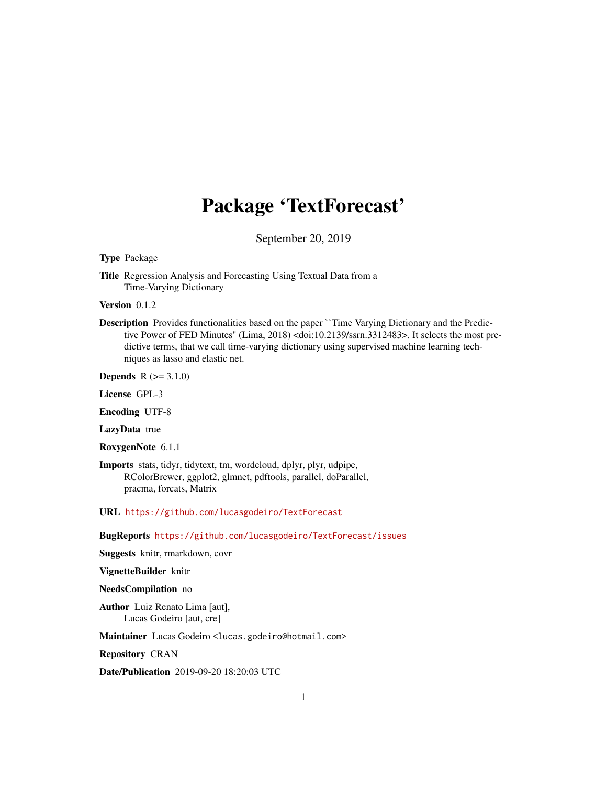# Package 'TextForecast'

September 20, 2019

#### <span id="page-0-0"></span>Type Package

Title Regression Analysis and Forecasting Using Textual Data from a Time-Varying Dictionary

Version 0.1.2

Description Provides functionalities based on the paper ``Time Varying Dictionary and the Predictive Power of FED Minutes'' (Lima, 2018) <doi:10.2139/ssrn.3312483>. It selects the most predictive terms, that we call time-varying dictionary using supervised machine learning techniques as lasso and elastic net.

**Depends**  $R (= 3.1.0)$ 

License GPL-3

Encoding UTF-8

LazyData true

RoxygenNote 6.1.1

Imports stats, tidyr, tidytext, tm, wordcloud, dplyr, plyr, udpipe, RColorBrewer, ggplot2, glmnet, pdftools, parallel, doParallel, pracma, forcats, Matrix

URL <https://github.com/lucasgodeiro/TextForecast>

BugReports <https://github.com/lucasgodeiro/TextForecast/issues>

Suggests knitr, rmarkdown, covr

VignetteBuilder knitr

#### NeedsCompilation no

Author Luiz Renato Lima [aut], Lucas Godeiro [aut, cre]

Maintainer Lucas Godeiro <lucas.godeiro@hotmail.com>

Repository CRAN

Date/Publication 2019-09-20 18:20:03 UTC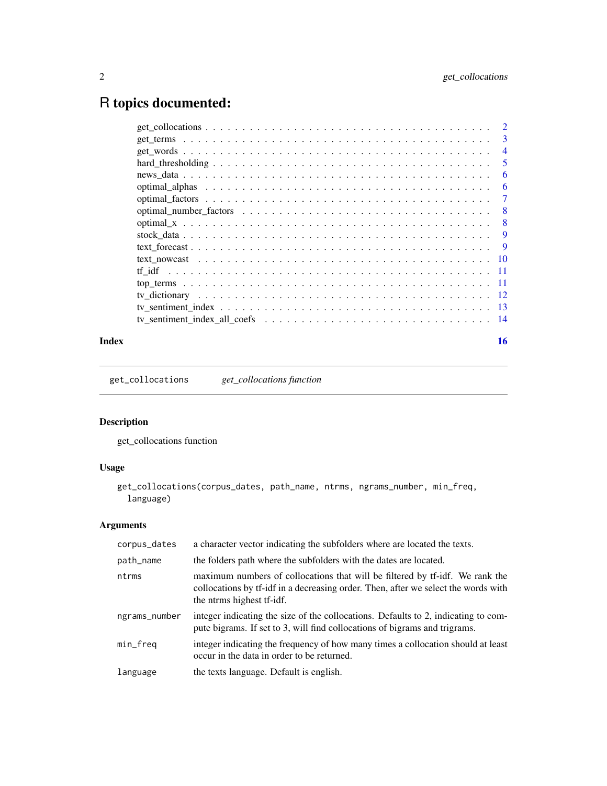## <span id="page-1-0"></span>R topics documented:

|        | 3   |
|--------|-----|
|        | 4   |
|        | 5   |
|        | 6   |
|        | 6   |
|        | 7   |
|        | 8   |
|        | 8   |
|        | 9   |
|        | 9   |
|        | 10  |
| tf idf | -11 |
|        | -11 |
|        | 12  |
|        | 13  |
|        | -14 |
|        |     |

#### **Index** and the contract of the contract of the contract of the contract of the contract of the contract of the contract of the contract of the contract of the contract of the contract of the contract of the contract of th

get\_collocations *get\_collocations function*

## Description

get\_collocations function

## Usage

```
get_collocations(corpus_dates, path_name, ntrms, ngrams_number, min_freq,
 language)
```

| corpus_dates  | a character vector indicating the subfolders where are located the texts.                                                                                                                       |
|---------------|-------------------------------------------------------------------------------------------------------------------------------------------------------------------------------------------------|
| path_name     | the folders path where the subfolders with the dates are located.                                                                                                                               |
| ntrms         | maximum numbers of collocations that will be filtered by tf-idf. We rank the<br>collocations by tf-idf in a decreasing order. Then, after we select the words with<br>the ntrms highest tf-idf. |
| ngrams_number | integer indicating the size of the collocations. Defaults to 2, indicating to com-<br>pute bigrams. If set to 3, will find collocations of bigrams and trigrams.                                |
| min_freq      | integer indicating the frequency of how many times a collocation should at least<br>occur in the data in order to be returned.                                                                  |
| language      | the texts language. Default is english.                                                                                                                                                         |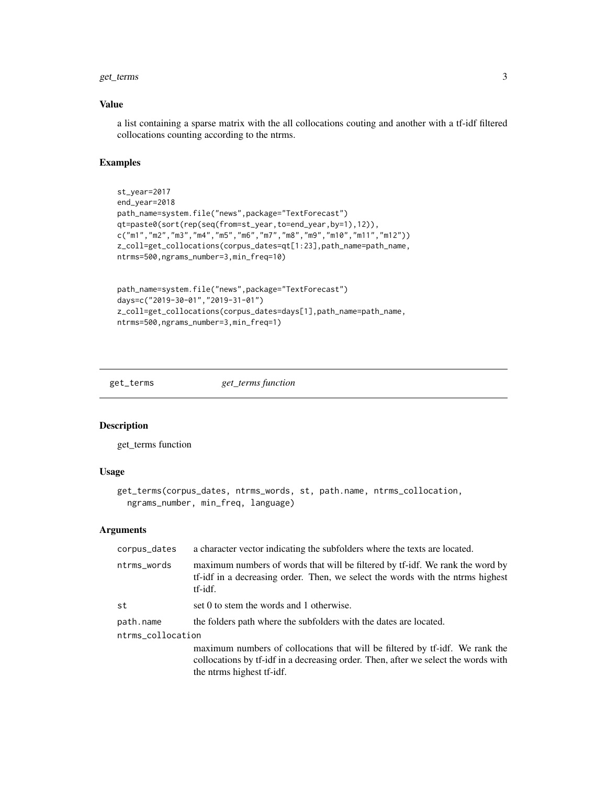#### <span id="page-2-0"></span>get\_terms 3

#### Value

a list containing a sparse matrix with the all collocations couting and another with a tf-idf filtered collocations counting according to the ntrms.

#### Examples

```
st_year=2017
end_year=2018
path_name=system.file("news",package="TextForecast")
qt=paste0(sort(rep(seq(from=st_year,to=end_year,by=1),12)),
c("m1", "m2", "m3", "m4", "m5", "m6", "m7", "m8", "m9", "m10", "m11", "m12"))z_coll=get_collocations(corpus_dates=qt[1:23],path_name=path_name,
ntrms=500,ngrams_number=3,min_freq=10)
path_name=system.file("news",package="TextForecast")
```

```
days=c("2019-30-01","2019-31-01")
z_coll=get_collocations(corpus_dates=days[1],path_name=path_name,
ntrms=500,ngrams_number=3,min_freq=1)
```
get\_terms *get\_terms function*

## Description

get\_terms function

#### Usage

```
get_terms(corpus_dates, ntrms_words, st, path.name, ntrms_collocation,
 ngrams_number, min_freq, language)
```

| corpus_dates      | a character vector indicating the subfolders where the texts are located.                                                                                                                       |
|-------------------|-------------------------------------------------------------------------------------------------------------------------------------------------------------------------------------------------|
| ntrms_words       | maximum numbers of words that will be filtered by tf-idf. We rank the word by<br>tf-idf in a decreasing order. Then, we select the words with the ntrms highest<br>tf-idf.                      |
| st                | set 0 to stem the words and 1 otherwise.                                                                                                                                                        |
| path.name         | the folders path where the subfolders with the dates are located.                                                                                                                               |
| ntrms_collocation |                                                                                                                                                                                                 |
|                   | maximum numbers of collocations that will be filtered by tf-idf. We rank the<br>collocations by tf-idf in a decreasing order. Then, after we select the words with<br>the ntrms highest tf-idf. |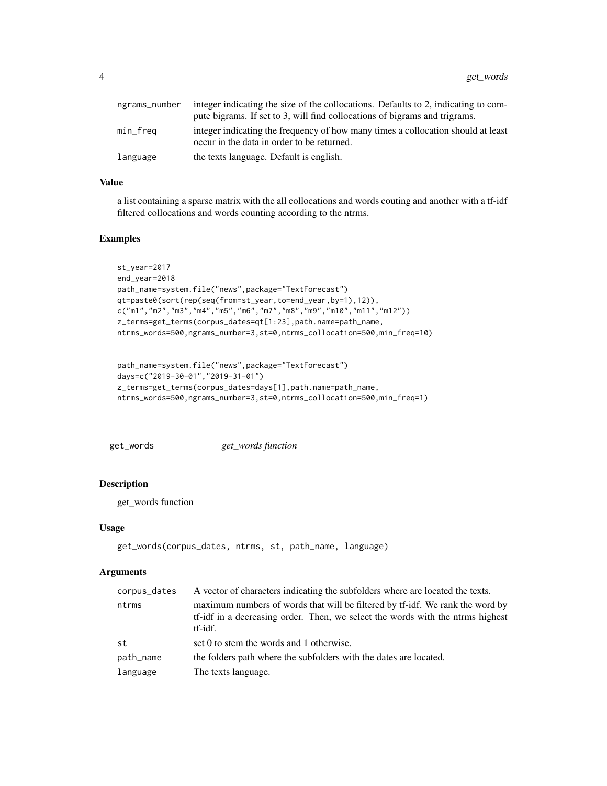<span id="page-3-0"></span>

| ngrams_number | integer indicating the size of the collocations. Defaults to 2, indicating to com-                                             |
|---------------|--------------------------------------------------------------------------------------------------------------------------------|
|               | pute bigrams. If set to 3, will find collocations of bigrams and trigrams.                                                     |
| min_freq      | integer indicating the frequency of how many times a collocation should at least<br>occur in the data in order to be returned. |
| language      | the texts language. Default is english.                                                                                        |

#### Value

a list containing a sparse matrix with the all collocations and words couting and another with a tf-idf filtered collocations and words counting according to the ntrms.

#### Examples

```
st_year=2017
end_year=2018
path_name=system.file("news",package="TextForecast")
qt=paste0(sort(rep(seq(from=st_year,to=end_year,by=1),12)),
c("m1","m2","m3","m4","m5","m6","m7","m8","m9","m10","m11","m12"))
z_terms=get_terms(corpus_dates=qt[1:23],path.name=path_name,
ntrms_words=500,ngrams_number=3,st=0,ntrms_collocation=500,min_freq=10)
```

```
path_name=system.file("news",package="TextForecast")
days=c("2019-30-01","2019-31-01")
z_terms=get_terms(corpus_dates=days[1],path.name=path_name,
ntrms_words=500,ngrams_number=3,st=0,ntrms_collocation=500,min_freq=1)
```
get\_words *get\_words function*

#### Description

get\_words function

#### Usage

```
get_words(corpus_dates, ntrms, st, path_name, language)
```

| corpus_dates | A vector of characters indicating the subfolders where are located the texts.                                                                                              |
|--------------|----------------------------------------------------------------------------------------------------------------------------------------------------------------------------|
| ntrms        | maximum numbers of words that will be filtered by tf-idf. We rank the word by<br>tf-idf in a decreasing order. Then, we select the words with the ntrms highest<br>tf-idf. |
| st           | set 0 to stem the words and 1 otherwise.                                                                                                                                   |
| path_name    | the folders path where the subfolders with the dates are located.                                                                                                          |
| language     | The texts language.                                                                                                                                                        |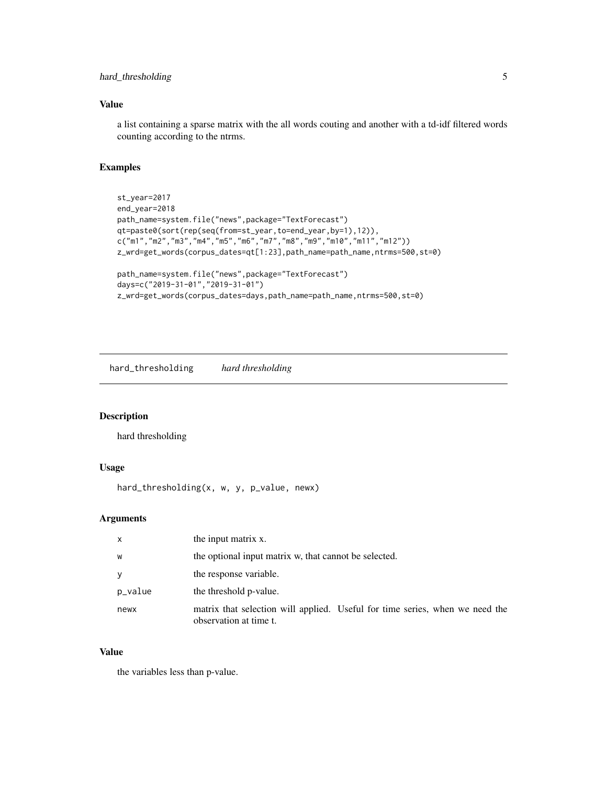## <span id="page-4-0"></span>hard\_thresholding 5

## Value

a list containing a sparse matrix with the all words couting and another with a td-idf filtered words counting according to the ntrms.

#### Examples

```
st_year=2017
end_year=2018
path_name=system.file("news",package="TextForecast")
qt=paste0(sort(rep(seq(from=st_year,to=end_year,by=1),12)),
c("m1","m2","m3","m4","m5","m6","m7","m8","m9","m10","m11","m12"))
z_wrd=get_words(corpus_dates=qt[1:23],path_name=path_name,ntrms=500,st=0)
path_name=system.file("news",package="TextForecast")
days=c("2019-31-01","2019-31-01")
```
z\_wrd=get\_words(corpus\_dates=days,path\_name=path\_name,ntrms=500,st=0)

hard\_thresholding *hard thresholding*

## Description

hard thresholding

### Usage

hard\_thresholding(x, w, y, p\_value, newx)

## Arguments

| $\mathsf{x}$ | the input matrix x.                                                                                    |
|--------------|--------------------------------------------------------------------------------------------------------|
| W            | the optional input matrix w, that cannot be selected.                                                  |
| y            | the response variable.                                                                                 |
| p_value      | the threshold p-value.                                                                                 |
| newx         | matrix that selection will applied. Useful for time series, when we need the<br>observation at time t. |

#### Value

the variables less than p-value.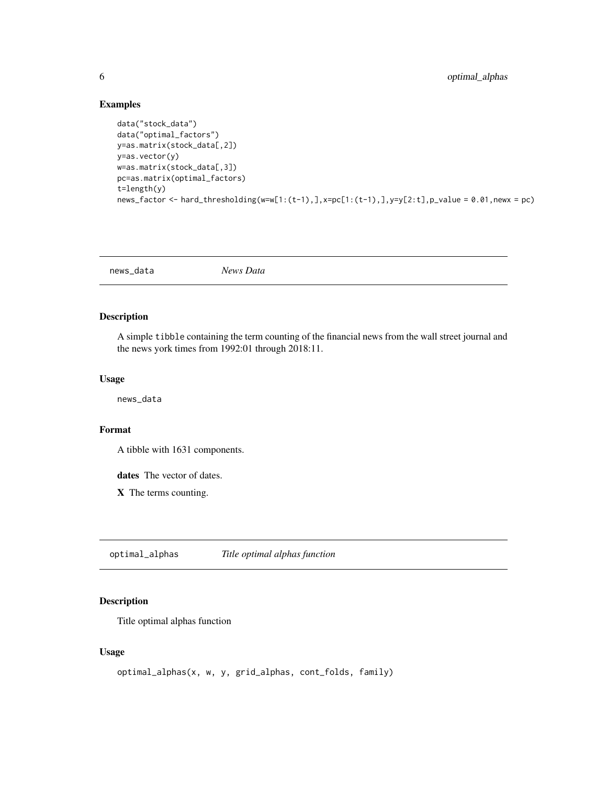#### Examples

```
data("stock_data")
data("optimal_factors")
y=as.matrix(stock_data[,2])
y=as.vector(y)
w=as.matrix(stock_data[,3])
pc=as.matrix(optimal_factors)
t=length(y)
news_factor <- hard_thresholding(w=w[1:(t-1),],x=pc[1:(t-1),],y=y[2:t],p_value = 0.01,newx = pc)
```
news\_data *News Data*

## Description

A simple tibble containing the term counting of the financial news from the wall street journal and the news york times from 1992:01 through 2018:11.

#### Usage

news\_data

#### Format

A tibble with 1631 components.

dates The vector of dates.

X The terms counting.

optimal\_alphas *Title optimal alphas function*

## Description

Title optimal alphas function

#### Usage

```
optimal_alphas(x, w, y, grid_alphas, cont_folds, family)
```
<span id="page-5-0"></span>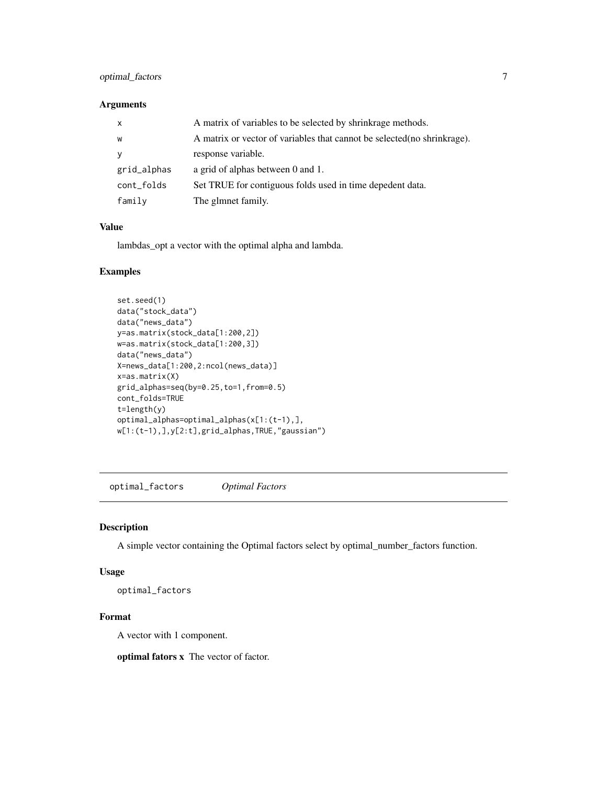## <span id="page-6-0"></span>optimal\_factors 7

#### Arguments

| $\mathsf{x}$ | A matrix of variables to be selected by shrinkrage methods.              |
|--------------|--------------------------------------------------------------------------|
| W            | A matrix or vector of variables that cannot be selected (no shrinkrage). |
| <b>y</b>     | response variable.                                                       |
| grid_alphas  | a grid of alphas between 0 and 1.                                        |
| cont_folds   | Set TRUE for contiguous folds used in time depedent data.                |
| family       | The glmnet family.                                                       |

#### Value

lambdas\_opt a vector with the optimal alpha and lambda.

#### Examples

```
set.seed(1)
data("stock_data")
data("news_data")
y=as.matrix(stock_data[1:200,2])
w=as.matrix(stock_data[1:200,3])
data("news_data")
X=news_data[1:200,2:ncol(news_data)]
x=as.matrix(X)
grid_alphas=seq(by=0.25,to=1,from=0.5)
cont_folds=TRUE
t=length(y)
optimal_alphas=optimal_alphas(x[1:(t-1),],
w[1:(t-1),],y[2:t],grid_alphas,TRUE,"gaussian")
```
optimal\_factors *Optimal Factors*

## Description

A simple vector containing the Optimal factors select by optimal\_number\_factors function.

## Usage

optimal\_factors

## Format

A vector with 1 component.

optimal fators x The vector of factor.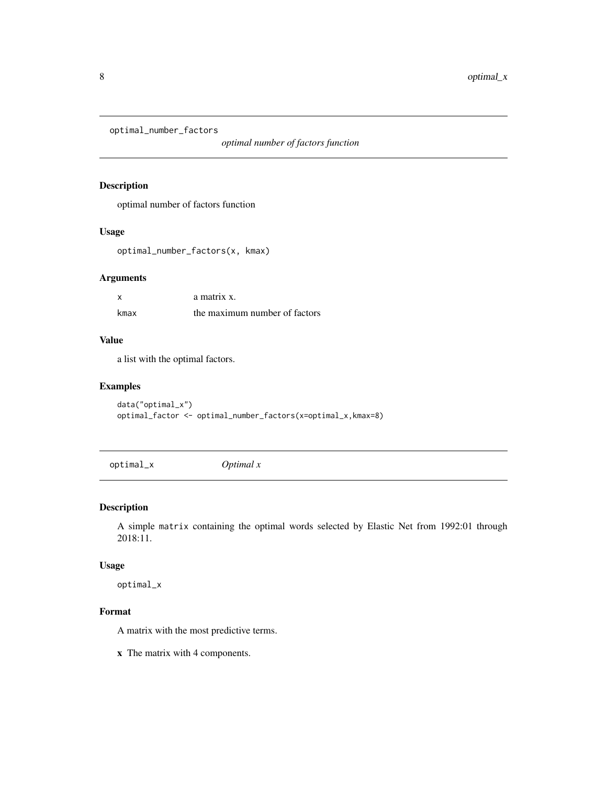<span id="page-7-0"></span>optimal\_number\_factors

*optimal number of factors function*

#### Description

optimal number of factors function

#### Usage

optimal\_number\_factors(x, kmax)

## Arguments

|      | a matrix x.                   |
|------|-------------------------------|
| kmax | the maximum number of factors |

## Value

a list with the optimal factors.

## Examples

data("optimal\_x") optimal\_factor <- optimal\_number\_factors(x=optimal\_x,kmax=8)

optimal\_x *Optimal x*

## Description

A simple matrix containing the optimal words selected by Elastic Net from 1992:01 through 2018:11.

#### Usage

optimal\_x

## Format

A matrix with the most predictive terms.

x The matrix with 4 components.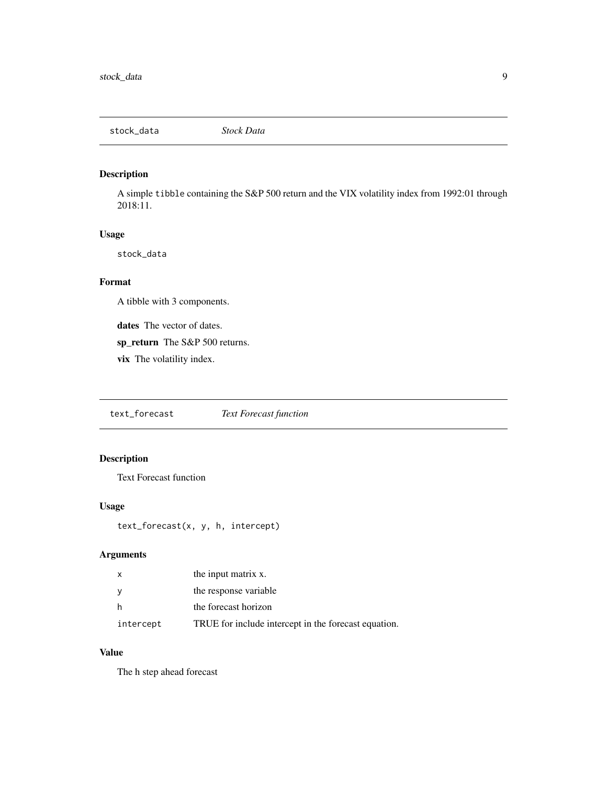<span id="page-8-0"></span>stock\_data *Stock Data*

## Description

A simple tibble containing the S&P 500 return and the VIX volatility index from 1992:01 through 2018:11.

## Usage

stock\_data

#### Format

A tibble with 3 components.

dates The vector of dates.

sp\_return The S&P 500 returns.

vix The volatility index.

text\_forecast *Text Forecast function*

## Description

Text Forecast function

## Usage

text\_forecast(x, y, h, intercept)

## Arguments

|           | the input matrix x.                                  |
|-----------|------------------------------------------------------|
|           | the response variable                                |
| h         | the forecast horizon                                 |
| intercept | TRUE for include intercept in the forecast equation. |

### Value

The h step ahead forecast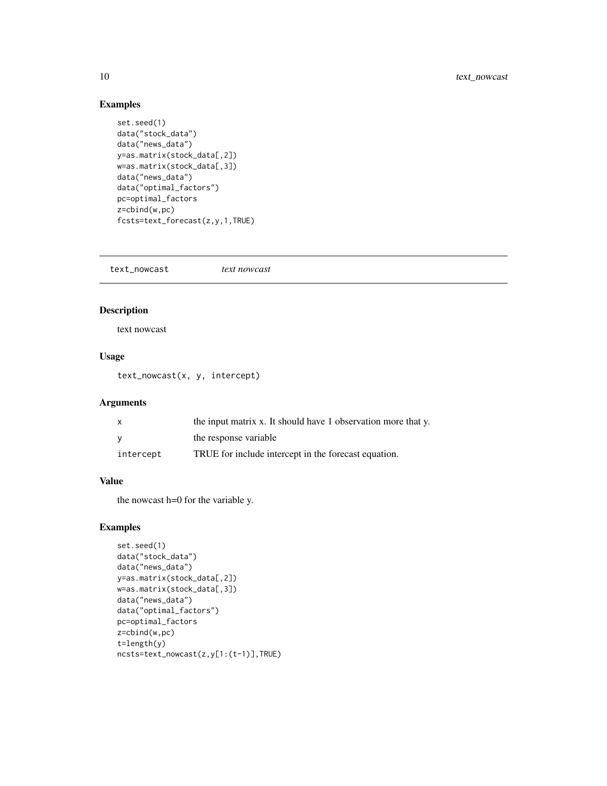## Examples

```
set.seed(1)
data("stock_data")
data("news_data")
y=as.matrix(stock_data[,2])
w=as.matrix(stock_data[,3])
data("news_data")
data("optimal_factors")
pc=optimal_factors
z=cbind(w,pc)
fcsts=text_forecast(z,y,1,TRUE)
```
text\_nowcast *text nowcast*

## Description

text nowcast

#### Usage

text\_nowcast(x, y, intercept)

#### Arguments

|           | the input matrix x. It should have 1 observation more that y. |
|-----------|---------------------------------------------------------------|
|           | the response variable                                         |
| intercept | TRUE for include intercept in the forecast equation.          |

## Value

the nowcast h=0 for the variable y.

## Examples

```
set.seed(1)
data("stock_data")
data("news_data")
y=as.matrix(stock_data[,2])
w=as.matrix(stock_data[,3])
data("news_data")
data("optimal_factors")
pc=optimal_factors
z=cbind(w,pc)
t=length(y)
ncsts=text_nowcast(z,y[1:(t-1)],TRUE)
```
<span id="page-9-0"></span>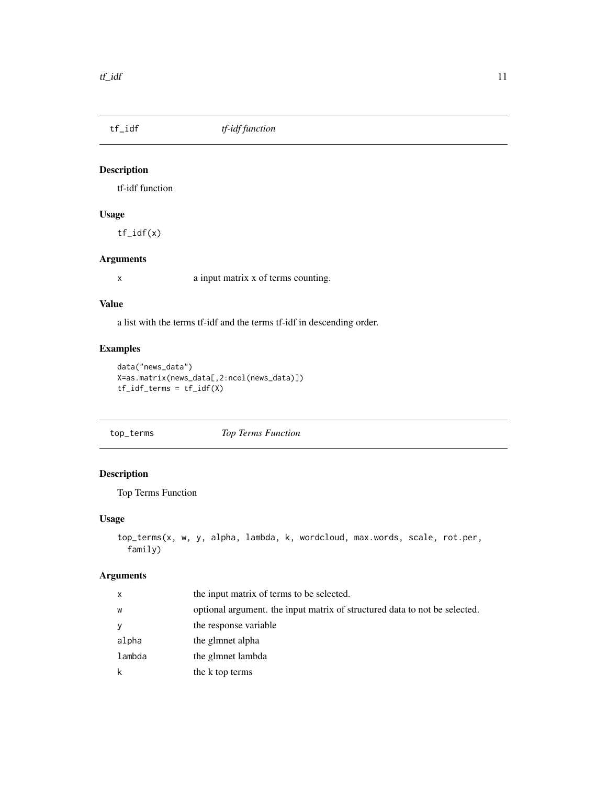<span id="page-10-0"></span>

## Description

tf-idf function

## Usage

tf\_idf(x)

## Arguments

x a input matrix x of terms counting.

#### Value

a list with the terms tf-idf and the terms tf-idf in descending order.

## Examples

```
data("news_data")
X=as.matrix(news_data[,2:ncol(news_data)])
tf_idf_terms = tf_idf(X)
```
top\_terms *Top Terms Function*

## Description

Top Terms Function

## Usage

```
top_terms(x, w, y, alpha, lambda, k, wordcloud, max.words, scale, rot.per,
 family)
```

| x      | the input matrix of terms to be selected.                                  |
|--------|----------------------------------------------------------------------------|
| w      | optional argument, the input matrix of structured data to not be selected. |
| y      | the response variable                                                      |
| alpha  | the glmnet alpha                                                           |
| lambda | the glmnet lambda                                                          |
| k      | the k top terms                                                            |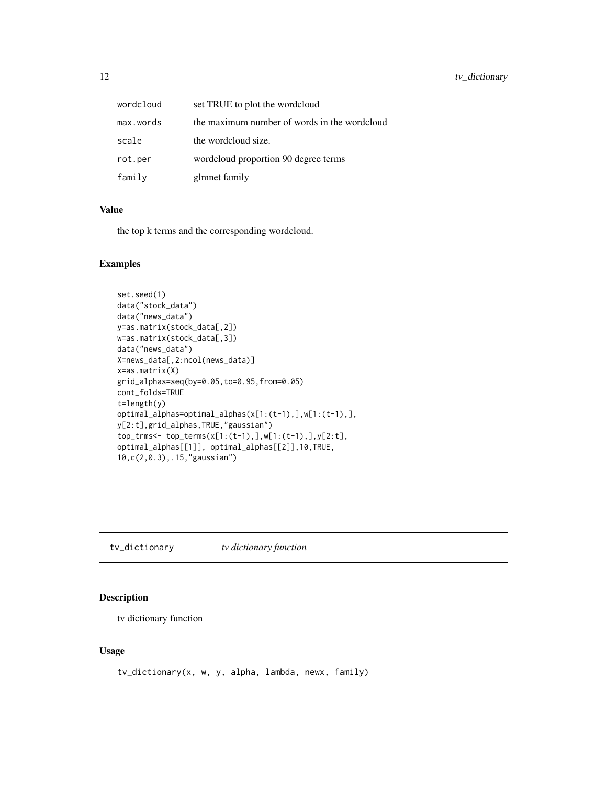<span id="page-11-0"></span>

| wordcloud | set TRUE to plot the wordcloud               |
|-----------|----------------------------------------------|
| max.words | the maximum number of words in the wordcloud |
| scale     | the wordcloud size.                          |
| rot.per   | wordcloud proportion 90 degree terms         |
| family    | glmnet family                                |

#### Value

the top k terms and the corresponding wordcloud.

#### Examples

```
set.seed(1)
data("stock_data")
data("news_data")
y=as.matrix(stock_data[,2])
w=as.matrix(stock_data[,3])
data("news_data")
X=news_data[,2:ncol(news_data)]
x=as.matrix(X)
grid_alphas=seq(by=0.05,to=0.95,from=0.05)
cont_folds=TRUE
t=length(y)
optimal_alphas=optimal_alphas(x[1:(t-1),],w[1:(t-1),],
y[2:t],grid_alphas,TRUE,"gaussian")
top_trms<- top_terms(x[1:(t-1),],w[1:(t-1),],y[2:t],
optimal_alphas[[1]], optimal_alphas[[2]],10,TRUE,
10,c(2,0.3),.15,"gaussian")
```
tv\_dictionary *tv dictionary function*

## Description

tv dictionary function

#### Usage

tv\_dictionary(x, w, y, alpha, lambda, newx, family)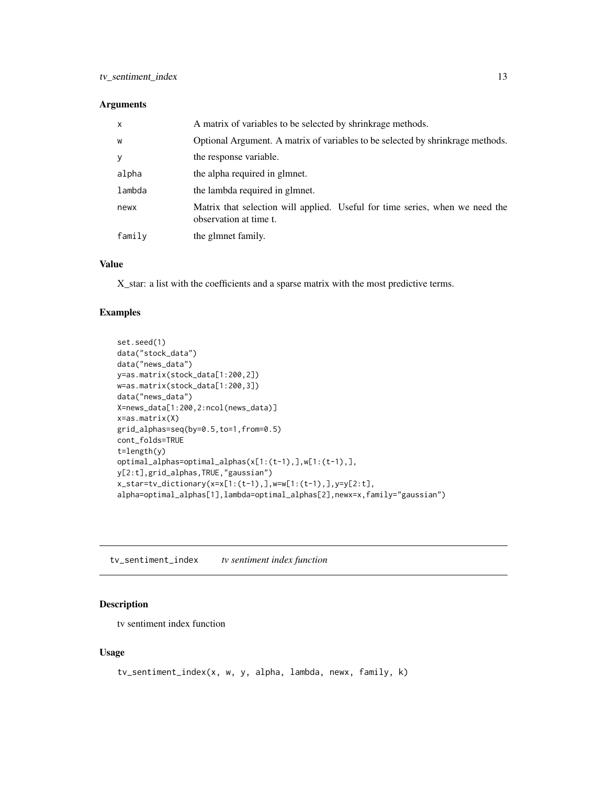#### <span id="page-12-0"></span>Arguments

| X      | A matrix of variables to be selected by shrinkrage methods.                                            |
|--------|--------------------------------------------------------------------------------------------------------|
| W      | Optional Argument. A matrix of variables to be selected by shrinkrage methods.                         |
| y      | the response variable.                                                                                 |
| alpha  | the alpha required in glmnet.                                                                          |
| lambda | the lambda required in glmnet.                                                                         |
| newx   | Matrix that selection will applied. Useful for time series, when we need the<br>observation at time t. |
| family | the glmnet family.                                                                                     |

#### Value

X\_star: a list with the coefficients and a sparse matrix with the most predictive terms.

## Examples

```
set.seed(1)
data("stock_data")
data("news_data")
y=as.matrix(stock_data[1:200,2])
w=as.matrix(stock_data[1:200,3])
data("news_data")
X=news_data[1:200,2:ncol(news_data)]
x=as.matrix(X)
grid_alphas=seq(by=0.5,to=1,from=0.5)
cont_folds=TRUE
t=length(y)
optimal_alphas=optimal_alphas(x[1:(t-1),],w[1:(t-1),],
y[2:t],grid_alphas,TRUE,"gaussian")
x_star=tv_dictionary(x=x[1:(t-1),],w=w[1:(t-1),],y=y[2:t],
alpha=optimal_alphas[1],lambda=optimal_alphas[2],newx=x,family="gaussian")
```
tv\_sentiment\_index *tv sentiment index function*

#### Description

tv sentiment index function

#### Usage

```
tv_sentiment_index(x, w, y, alpha, lambda, newx, family, k)
```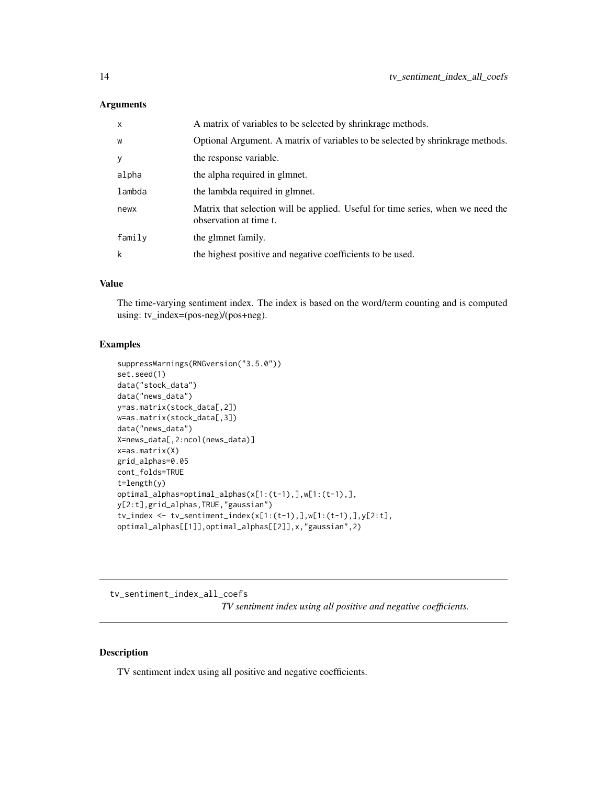#### <span id="page-13-0"></span>Arguments

| $\mathsf{x}$ | A matrix of variables to be selected by shrinkrage methods.                                               |
|--------------|-----------------------------------------------------------------------------------------------------------|
| W            | Optional Argument. A matrix of variables to be selected by shrinkrage methods.                            |
| У            | the response variable.                                                                                    |
| alpha        | the alpha required in glmnet.                                                                             |
| lambda       | the lambda required in glmnet.                                                                            |
| newx         | Matrix that selection will be applied. Useful for time series, when we need the<br>observation at time t. |
| family       | the glmnet family.                                                                                        |
| k            | the highest positive and negative coefficients to be used.                                                |

## Value

The time-varying sentiment index. The index is based on the word/term counting and is computed using: tv\_index=(pos-neg)/(pos+neg).

### Examples

```
suppressWarnings(RNGversion("3.5.0"))
set.seed(1)
data("stock_data")
data("news_data")
y=as.matrix(stock_data[,2])
w=as.matrix(stock_data[,3])
data("news_data")
X=news_data[,2:ncol(news_data)]
x=as.matrix(X)
grid_alphas=0.05
cont_folds=TRUE
t=length(y)
optimal_alphas=optimal_alphas(x[1:(t-1),],w[1:(t-1),],
y[2:t],grid_alphas,TRUE,"gaussian")
tv_index <- tv_sentiment_index(x[1:(t-1),],w[1:(t-1),],y[2:t],
optimal_alphas[[1]],optimal_alphas[[2]],x,"gaussian",2)
```
tv\_sentiment\_index\_all\_coefs *TV sentiment index using all positive and negative coefficients.*

## Description

TV sentiment index using all positive and negative coefficients.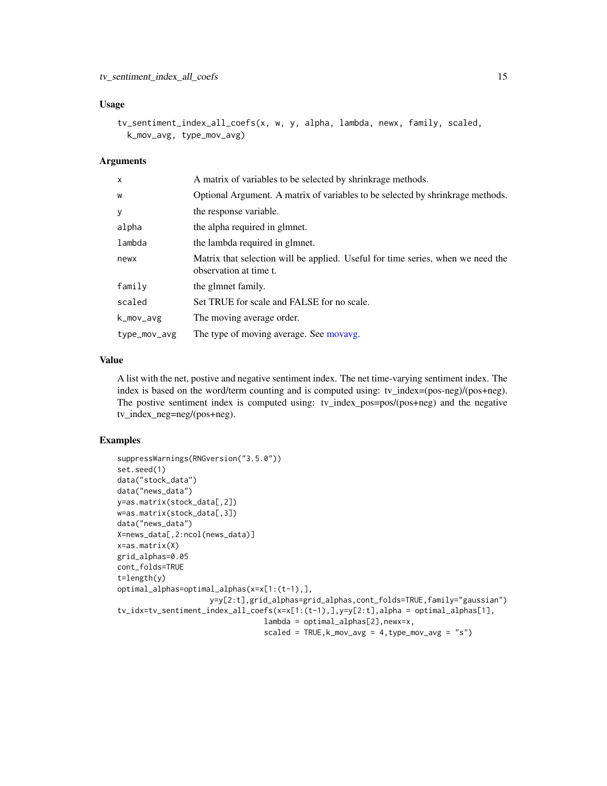#### <span id="page-14-0"></span>Usage

```
tv_sentiment_index_all_coefs(x, w, y, alpha, lambda, newx, family, scaled,
 k_mov_avg, type_mov_avg)
```
#### Arguments

| $\mathsf{x}$ | A matrix of variables to be selected by shrinkrage methods.                                               |
|--------------|-----------------------------------------------------------------------------------------------------------|
| W            | Optional Argument. A matrix of variables to be selected by shrinkrage methods.                            |
| y            | the response variable.                                                                                    |
| alpha        | the alpha required in glmnet.                                                                             |
| lambda       | the lambda required in glmnet.                                                                            |
| newx         | Matrix that selection will be applied. Useful for time series, when we need the<br>observation at time t. |
| family       | the glmnet family.                                                                                        |
| scaled       | Set TRUE for scale and FALSE for no scale.                                                                |
| k_mov_avg    | The moving average order.                                                                                 |
| type_mov_avg | The type of moving average. See movavg.                                                                   |

## Value

A list with the net, postive and negative sentiment index. The net time-varying sentiment index. The index is based on the word/term counting and is computed using: tv\_index=(pos-neg)/(pos+neg). The postive sentiment index is computed using: tv\_index\_pos=pos/(pos+neg) and the negative tv\_index\_neg=neg/(pos+neg).

#### Examples

```
suppressWarnings(RNGversion("3.5.0"))
set.seed(1)
data("stock_data")
data("news_data")
y=as.matrix(stock_data[,2])
w=as.matrix(stock_data[,3])
data("news_data")
X=news_data[,2:ncol(news_data)]
x=as.matrix(X)
grid_alphas=0.05
cont_folds=TRUE
t=length(y)
optimal_alphas=optimal_alphas(x=x[1:(t-1),],
                    y=y[2:t],grid_alphas=grid_alphas,cont_folds=TRUE,family="gaussian")
tv_idx=tv_sentiment_index_all_coefs(x=x[1:(t-1),],y=y[2:t],alpha = optimal_alphas[1],
                                 lambda = optimal_alphas[2],newx=x,
                                 scaled = TRUE, k_mov_avg = 4, type_mov_avg = "s")
```